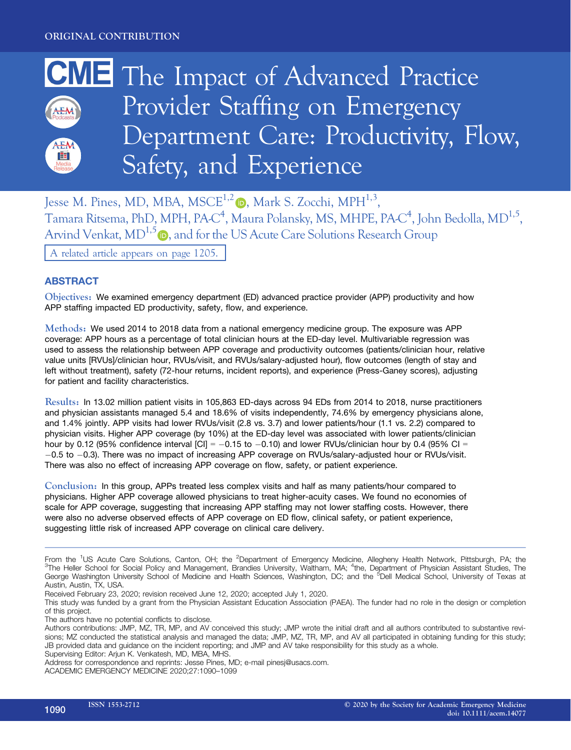

Jesse M. Pines, MD, MBA, MSCE<sup>1,[2](https://orcid.org/0000-0003-2292-3052)</sup> $\bullet$ , Mark S. Zocchi, MPH<sup>1,3</sup>, Tamara Ritsema, PhD, MPH, PA-C<sup>4</sup>, Maura Polansky, MS, MHPE, PA-C<sup>4</sup>, John Bedolla, MD<sup>1,5</sup>, Arvind Venkat,  $MD^{1,5}$  $MD^{1,5}$  $MD^{1,5}$   $\oplus$ , and for the US Acute Care Solutions Research Group A related article appears on page 1205.

# **ABSTRACT**

Objectives: We examined emergency department (ED) advanced practice provider (APP) productivity and how APP staffing impacted ED productivity, safety, flow, and experience.

Methods: We used 2014 to 2018 data from a national emergency medicine group. The exposure was APP coverage: APP hours as a percentage of total clinician hours at the ED-day level. Multivariable regression was used to assess the relationship between APP coverage and productivity outcomes (patients/clinician hour, relative value units [RVUs]/clinician hour, RVUs/visit, and RVUs/salary-adjusted hour), flow outcomes (length of stay and left without treatment), safety (72-hour returns, incident reports), and experience (Press-Ganey scores), adjusting for patient and facility characteristics.

Results: In 13.02 million patient visits in 105,863 ED-days across 94 EDs from 2014 to 2018, nurse practitioners and physician assistants managed 5.4 and 18.6% of visits independently, 74.6% by emergency physicians alone, and 1.4% jointly. APP visits had lower RVUs/visit (2.8 vs. 3.7) and lower patients/hour (1.1 vs. 2.2) compared to physician visits. Higher APP coverage (by 10%) at the ED-day level was associated with lower patients/clinician hour by 0.12 (95% confidence interval  $|Cl| = -0.15$  to  $-0.10$ ) and lower RVUs/clinician hour by 0.4 (95% CI =  $-0.5$  to  $-0.3$ ). There was no impact of increasing APP coverage on RVUs/salary-adjusted hour or RVUs/visit. There was also no effect of increasing APP coverage on flow, safety, or patient experience.

Conclusion: In this group, APPs treated less complex visits and half as many patients/hour compared to physicians. Higher APP coverage allowed physicians to treat higher-acuity cases. We found no economies of scale for APP coverage, suggesting that increasing APP staffing may not lower staffing costs. However, there were also no adverse observed effects of APP coverage on ED flow, clinical safety, or patient experience, suggesting little risk of increased APP coverage on clinical care delivery.

The authors have no potential conflicts to disclose.

From the <sup>1</sup>US Acute Care Solutions, Canton, OH; the <sup>2</sup>Department of Emergency Medicine, Allegheny Health Network, Pittsburgh, PA; the<br><sup>3</sup>The Heller School for Social Policy and Management, Brandies University, Weltham, M The Heller School for Social Policy and Management, Brandies University, Waltham, MA; <sup>4</sup>the, Department of Physician Assistant Studies, The George Washington University School of Medicine and Health Sciences, Washington, DC; and the <sup>5</sup>Dell Medical School, University of Texas at Austin, Austin, TX, USA.

Received February 23, 2020; revision received June 12, 2020; accepted July 1, 2020.

This study was funded by a grant from the Physician Assistant Education Association (PAEA). The funder had no role in the design or completion of this project.

Authors contributions: JMP, MZ, TR, MP, and AV conceived this study; JMP wrote the initial draft and all authors contributed to substantive revisions; MZ conducted the statistical analysis and managed the data; JMP, MZ, TR, MP, and AV all participated in obtaining funding for this study; JB provided data and guidance on the incident reporting; and JMP and AV take responsibility for this study as a whole. Supervising Editor: Arjun K. Venkatesh, MD, MBA, MHS.

Address for correspondence and reprints: Jesse Pines, MD; e-mail [pinesj@usacs.com](mailto:).

ACADEMIC EMERGENCY MEDICINE 2020;27:1090–1099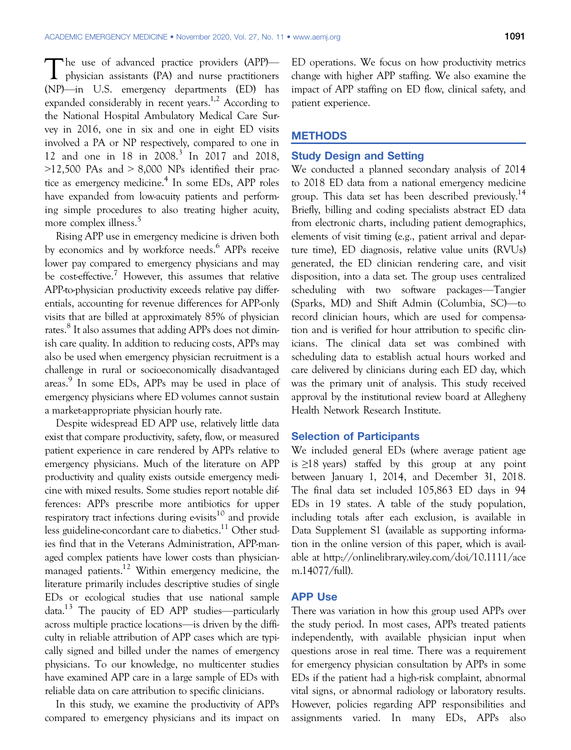The use of advanced practice providers (APP)—<br>physician assistants (PA) and nurse practitioners (NP)—in U.S. emergency departments (ED) has expanded considerably in recent years.<sup>1,2</sup> According to the National Hospital Ambulatory Medical Care Survey in 2016, one in six and one in eight ED visits involved a PA or NP respectively, compared to one in 12 and one in 18 in 2008.<sup>3</sup> In 2017 and 2018,  $>12,500$  PAs and  $> 8,000$  NPs identified their practice as emergency medicine.<sup>4</sup> In some EDs, APP roles have expanded from low-acuity patients and performing simple procedures to also treating higher acuity, more complex illness.<sup>5</sup>

Rising APP use in emergency medicine is driven both by economics and by workforce needs.<sup>6</sup> APPs receive lower pay compared to emergency physicians and may be cost-effective.<sup>7</sup> However, this assumes that relative APP-to-physician productivity exceeds relative pay differentials, accounting for revenue differences for APP-only visits that are billed at approximately 85% of physician rates.<sup>8</sup> It also assumes that adding APPs does not diminish care quality. In addition to reducing costs, APPs may also be used when emergency physician recruitment is a challenge in rural or socioeconomically disadvantaged areas. <sup>9</sup> In some EDs, APPs may be used in place of emergency physicians where ED volumes cannot sustain a market-appropriate physician hourly rate.

Despite widespread ED APP use, relatively little data exist that compare productivity, safety, flow, or measured patient experience in care rendered by APPs relative to emergency physicians. Much of the literature on APP productivity and quality exists outside emergency medicine with mixed results. Some studies report notable differences: APPs prescribe more antibiotics for upper respiratory tract infections during e-visits $10$  and provide less guideline-concordant care to diabetics.<sup>11</sup> Other studies find that in the Veterans Administration, APP-managed complex patients have lower costs than physicianmanaged patients.<sup>12</sup> Within emergency medicine, the literature primarily includes descriptive studies of single EDs or ecological studies that use national sample data.13 The paucity of ED APP studies—particularly across multiple practice locations—is driven by the difficulty in reliable attribution of APP cases which are typically signed and billed under the names of emergency physicians. To our knowledge, no multicenter studies have examined APP care in a large sample of EDs with reliable data on care attribution to specific clinicians.

In this study, we examine the productivity of APPs compared to emergency physicians and its impact on ED operations. We focus on how productivity metrics change with higher APP staffing. We also examine the impact of APP staffing on ED flow, clinical safety, and patient experience.

## **METHODS**

## Study Design and Setting

We conducted a planned secondary analysis of 2014 to 2018 ED data from a national emergency medicine group. This data set has been described previously.<sup>14</sup> Briefly, billing and coding specialists abstract ED data from electronic charts, including patient demographics, elements of visit timing (e.g., patient arrival and departure time), ED diagnosis, relative value units (RVUs) generated, the ED clinician rendering care, and visit disposition, into a data set. The group uses centralized scheduling with two software packages—Tangier (Sparks, MD) and Shift Admin (Columbia, SC)—to record clinician hours, which are used for compensation and is verified for hour attribution to specific clinicians. The clinical data set was combined with scheduling data to establish actual hours worked and care delivered by clinicians during each ED day, which was the primary unit of analysis. This study received approval by the institutional review board at Allegheny Health Network Research Institute.

## Selection of Participants

We included general EDs (where average patient age is ≥18 years) staffed by this group at any point between January 1, 2014, and December 31, 2018. The final data set included 105,863 ED days in 94 EDs in 19 states. A table of the study population, including totals after each exclusion, is available in Data Supplement S1 (available as supporting information in the online version of this paper, which is available at [http://onlinelibrary.wiley.com/doi/10.1111/ace](http://onlinelibrary.wiley.com/doi/10.1111/acem.14077/full) [m.14077/full\)](http://onlinelibrary.wiley.com/doi/10.1111/acem.14077/full).

### APP Use

There was variation in how this group used APPs over the study period. In most cases, APPs treated patients independently, with available physician input when questions arose in real time. There was a requirement for emergency physician consultation by APPs in some EDs if the patient had a high-risk complaint, abnormal vital signs, or abnormal radiology or laboratory results. However, policies regarding APP responsibilities and assignments varied. In many EDs, APPs also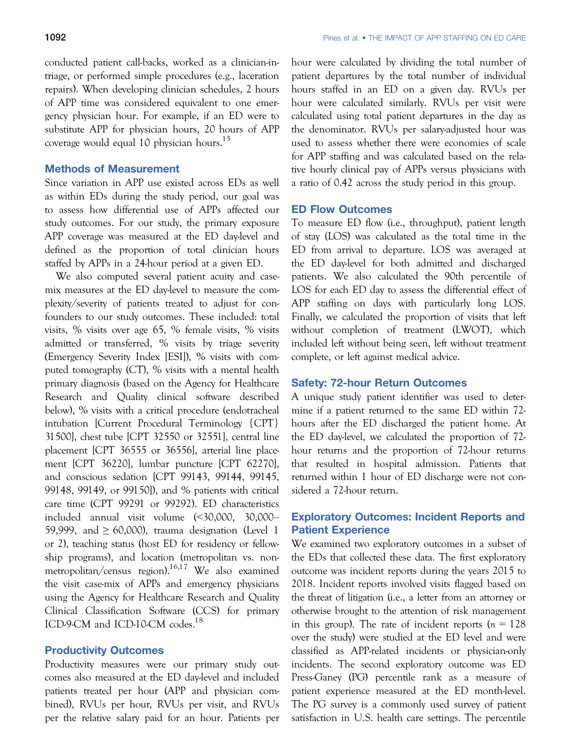conducted patient call-backs, worked as a clinician-intriage, or performed simple procedures (e.g., laceration repairs). When developing clinician schedules, 2 hours of APP time was considered equivalent to one emergency physician hour. For example, if an ED were to substitute APP for physician hours, 20 hours of APP coverage would equal 10 physician hours.<sup>15</sup>

## Methods of Measurement

Since variation in APP use existed across EDs as well as within EDs during the study period, our goal was to assess how differential use of APPs affected our study outcomes. For our study, the primary exposure APP coverage was measured at the ED day-level and defined as the proportion of total clinician hours staffed by APPs in a 24-hour period at a given ED.

We also computed several patient acuity and casemix measures at the ED day-level to measure the complexity/severity of patients treated to adjust for confounders to our study outcomes. These included: total visits, % visits over age 65, % female visits, % visits admitted or transferred, % visits by triage severity (Emergency Severity Index [ESI]), % visits with computed tomography (CT), % visits with a mental health primary diagnosis (based on the Agency for Healthcare Research and Quality clinical software described below), % visits with a critical procedure (endotracheal intubation [Current Procedural Terminology {CPT} 31500], chest tube [CPT 32550 or 32551], central line placement [CPT 36555 or 36556], arterial line placement [CPT 36220], lumbar puncture [CPT 62270], and conscious sedation [CPT 99143, 99144, 99145, 99148, 99149, or 99150]), and % patients with critical care time (CPT 99291 or 99292). ED characteristics included annual visit volume (<30,000, 30,000– 59,999, and  $\geq 60,000$ , trauma designation (Level 1 or 2), teaching status (host ED for residency or fellowship programs), and location (metropolitan vs. nonmetropolitan/census region).16,17 We also examined the visit case-mix of APPs and emergency physicians using the Agency for Healthcare Research and Quality Clinical Classification Software (CCS) for primary ICD-9-CM and ICD-10-CM codes.<sup>18</sup>

## Productivity Outcomes

Productivity measures were our primary study outcomes also measured at the ED day-level and included patients treated per hour (APP and physician combined), RVUs per hour, RVUs per visit, and RVUs per the relative salary paid for an hour. Patients per hour were calculated by dividing the total number of patient departures by the total number of individual hours staffed in an ED on a given day. RVUs per hour were calculated similarly. RVUs per visit were calculated using total patient departures in the day as the denominator. RVUs per salary-adjusted hour was used to assess whether there were economies of scale for APP staffing and was calculated based on the relative hourly clinical pay of APPs versus physicians with a ratio of 0.42 across the study period in this group.

### ED Flow Outcomes

To measure ED flow (i.e., throughput), patient length of stay (LOS) was calculated as the total time in the ED from arrival to departure. LOS was averaged at the ED day-level for both admitted and discharged patients. We also calculated the 90th percentile of LOS for each ED day to assess the differential effect of APP staffing on days with particularly long LOS. Finally, we calculated the proportion of visits that left without completion of treatment (LWOT), which included left without being seen, left without treatment complete, or left against medical advice.

## Safety: 72-hour Return Outcomes

A unique study patient identifier was used to determine if a patient returned to the same ED within 72 hours after the ED discharged the patient home. At the ED day-level, we calculated the proportion of 72 hour returns and the proportion of 72-hour returns that resulted in hospital admission. Patients that returned within 1 hour of ED discharge were not considered a 72-hour return.

# Exploratory Outcomes: Incident Reports and Patient Experience

We examined two exploratory outcomes in a subset of the EDs that collected these data. The first exploratory outcome was incident reports during the years 2015 to 2018. Incident reports involved visits flagged based on the threat of litigation (i.e., a letter from an attorney or otherwise brought to the attention of risk management in this group). The rate of incident reports  $(n = 128)$ over the study) were studied at the ED level and were classified as APP-related incidents or physician-only incidents. The second exploratory outcome was ED Press-Ganey (PG) percentile rank as a measure of patient experience measured at the ED month-level. The PG survey is a commonly used survey of patient satisfaction in U.S. health care settings. The percentile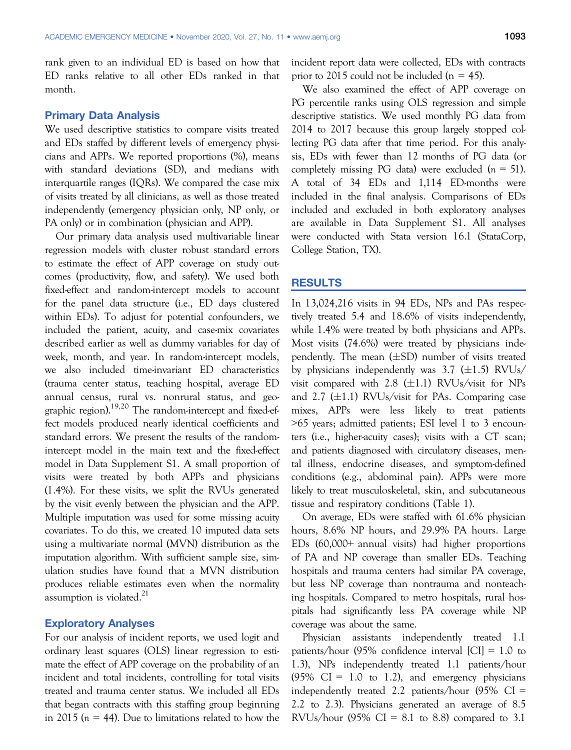rank given to an individual ED is based on how that ED ranks relative to all other EDs ranked in that month.

## Primary Data Analysis

We used descriptive statistics to compare visits treated and EDs staffed by different levels of emergency physicians and APPs. We reported proportions (%), means with standard deviations (SD), and medians with interquartile ranges (IQRs). We compared the case mix of visits treated by all clinicians, as well as those treated independently (emergency physician only, NP only, or PA only) or in combination (physician and APP).

Our primary data analysis used multivariable linear regression models with cluster robust standard errors to estimate the effect of APP coverage on study outcomes (productivity, flow, and safety). We used both fixed-effect and random-intercept models to account for the panel data structure (i.e., ED days clustered within EDs). To adjust for potential confounders, we included the patient, acuity, and case-mix covariates described earlier as well as dummy variables for day of week, month, and year. In random-intercept models, we also included time-invariant ED characteristics (trauma center status, teaching hospital, average ED annual census, rural vs. nonrural status, and geographic region).<sup>19,20</sup> The random-intercept and fixed-effect models produced nearly identical coefficients and standard errors. We present the results of the randomintercept model in the main text and the fixed-effect model in Data Supplement S1. A small proportion of visits were treated by both APPs and physicians (1.4%). For these visits, we split the RVUs generated by the visit evenly between the physician and the APP. Multiple imputation was used for some missing acuity covariates. To do this, we created 10 imputed data sets using a multivariate normal (MVN) distribution as the imputation algorithm. With sufficient sample size, simulation studies have found that a MVN distribution produces reliable estimates even when the normality assumption is violated. $^{21}$ 

## Exploratory Analyses

For our analysis of incident reports, we used logit and ordinary least squares (OLS) linear regression to estimate the effect of APP coverage on the probability of an incident and total incidents, controlling for total visits treated and trauma center status. We included all EDs that began contracts with this staffing group beginning in 2015 ( $n = 44$ ). Due to limitations related to how the incident report data were collected, EDs with contracts prior to 2015 could not be included ( $n = 45$ ).

We also examined the effect of APP coverage on PG percentile ranks using OLS regression and simple descriptive statistics. We used monthly PG data from 2014 to 2017 because this group largely stopped collecting PG data after that time period. For this analysis, EDs with fewer than 12 months of PG data (or completely missing PG data) were excluded  $(n = 51)$ . A total of 34 EDs and 1,114 ED-months were included in the final analysis. Comparisons of EDs included and excluded in both exploratory analyses are available in Data Supplement S1. All analyses were conducted with Stata version 16.1 (StataCorp, College Station, TX).

## **RESULTS**

In 13,024,216 visits in 94 EDs, NPs and PAs respectively treated 5.4 and 18.6% of visits independently, while 1.4% were treated by both physicians and APPs. Most visits (74.6%) were treated by physicians independently. The mean  $(\pm SD)$  number of visits treated by physicians independently was 3.7  $(\pm 1.5)$  RVUs/ visit compared with 2.8  $(\pm 1.1)$  RVUs/visit for NPs and 2.7 ( $\pm$ 1.1) RVUs/visit for PAs. Comparing case mixes, APPs were less likely to treat patients >65 years; admitted patients; ESI level 1 to 3 encounters (i.e., higher-acuity cases); visits with a CT scan; and patients diagnosed with circulatory diseases, mental illness, endocrine diseases, and symptom-defined conditions (e.g., abdominal pain). APPs were more likely to treat musculoskeletal, skin, and subcutaneous tissue and respiratory conditions (Table 1).

On average, EDs were staffed with 61.6% physician hours, 8.6% NP hours, and 29.9% PA hours. Large EDs (60,000+ annual visits) had higher proportions of PA and NP coverage than smaller EDs. Teaching hospitals and trauma centers had similar PA coverage, but less NP coverage than nontrauma and nonteaching hospitals. Compared to metro hospitals, rural hospitals had significantly less PA coverage while NP coverage was about the same.

Physician assistants independently treated 1.1 patients/hour (95% confidence interval [CI] = 1.0 to 1.3), NPs independently treated 1.1 patients/hour  $(95\% \text{ CI} = 1.0 \text{ to } 1.2)$ , and emergency physicians independently treated 2.2 patients/hour  $(95\% \text{ CI} =$ 2.2 to 2.3). Physicians generated an average of 8.5 RVUs/hour  $(95\% \text{ CI} = 8.1 \text{ to } 8.8)$  compared to 3.1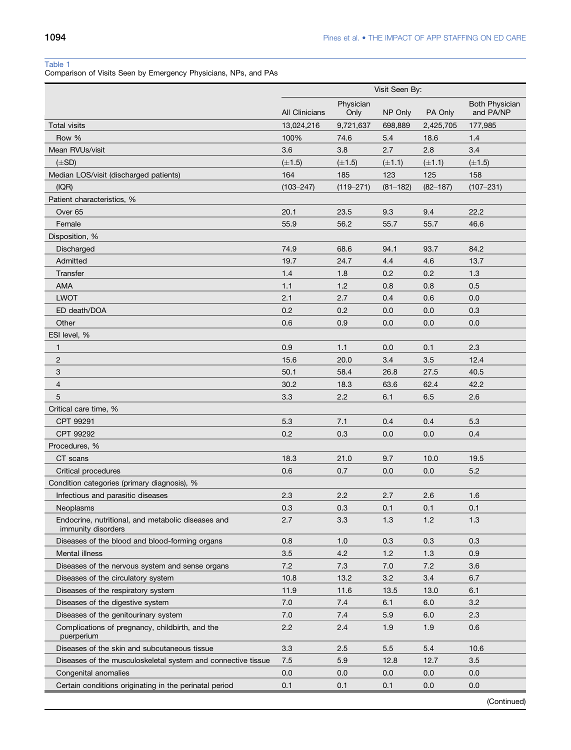## Table 1

Comparison of Visits Seen by Emergency Physicians, NPs, and PAs

|                                                                          | Visit Seen By:        |                   |              |              |                                    |
|--------------------------------------------------------------------------|-----------------------|-------------------|--------------|--------------|------------------------------------|
|                                                                          | <b>All Clinicians</b> | Physician<br>Only | NP Only      | PA Only      | <b>Both Physician</b><br>and PA/NP |
| <b>Total visits</b>                                                      | 13,024,216            | 9,721,637         | 698,889      | 2,425,705    | 177,985                            |
| Row %                                                                    | 100%                  | 74.6              | 5.4          | 18.6         | 1.4                                |
| Mean RVUs/visit                                                          | 3.6                   | 3.8               | 2.7          | 2.8          | 3.4                                |
| $(\pm SD)$                                                               | $(\pm 1.5)$           | $(\pm 1.5)$       | $(\pm 1.1)$  | $(\pm 1.1)$  | $(\pm 1.5)$                        |
| Median LOS/visit (discharged patients)                                   | 164                   | 185               | 123          | 125          | 158                                |
| (IQR)                                                                    | $(103 - 247)$         | $(119 - 271)$     | $(81 - 182)$ | $(82 - 187)$ | $(107 - 231)$                      |
| Patient characteristics, %                                               |                       |                   |              |              |                                    |
| Over <sub>65</sub>                                                       | 20.1                  | 23.5              | 9.3          | 9.4          | 22.2                               |
| Female                                                                   | 55.9                  | 56.2              | 55.7         | 55.7         | 46.6                               |
| Disposition, %                                                           |                       |                   |              |              |                                    |
| Discharged                                                               | 74.9                  | 68.6              | 94.1         | 93.7         | 84.2                               |
| Admitted                                                                 | 19.7                  | 24.7              | 4.4          | 4.6          | 13.7                               |
| Transfer                                                                 | 1.4                   | 1.8               | 0.2          | 0.2          | 1.3                                |
| AMA                                                                      | 1.1                   | 1.2               | 0.8          | 0.8          | 0.5                                |
| <b>LWOT</b>                                                              | 2.1                   | 2.7               | 0.4          | 0.6          | 0.0                                |
| ED death/DOA                                                             | 0.2                   | 0.2               | 0.0          | 0.0          | 0.3                                |
| Other                                                                    | 0.6                   | 0.9               | 0.0          | 0.0          | 0.0                                |
| ESI level, %                                                             |                       |                   |              |              |                                    |
| $\mathbf{1}$                                                             | 0.9                   | 1.1               | 0.0          | 0.1          | 2.3                                |
| $\overline{2}$                                                           | 15.6                  | 20.0              | 3.4          | 3.5          | 12.4                               |
| 3                                                                        | 50.1                  | 58.4              | 26.8         | 27.5         | 40.5                               |
| $\overline{4}$                                                           | 30.2                  | 18.3              | 63.6         | 62.4         | 42.2                               |
| 5                                                                        | 3.3                   | 2.2               | 6.1          | 6.5          | 2.6                                |
| Critical care time, %                                                    |                       |                   |              |              |                                    |
| CPT 99291                                                                | 5.3                   | 7.1               | 0.4          | 0.4          | 5.3                                |
| CPT 99292                                                                | 0.2                   | 0.3               | 0.0          | 0.0          | 0.4                                |
| Procedures, %                                                            |                       |                   |              |              |                                    |
| CT scans                                                                 | 18.3                  | 21.0              | 9.7          | 10.0         | 19.5                               |
| <b>Critical procedures</b>                                               | 0.6                   | 0.7               | 0.0          | 0.0          | 5.2                                |
| Condition categories (primary diagnosis), %                              |                       |                   |              |              |                                    |
| Infectious and parasitic diseases                                        | 2.3                   | 2.2               | 2.7          | 2.6          | 1.6                                |
| Neoplasms                                                                | 0.3                   | 0.3               | 0.1          | 0.1          | 0.1                                |
| Endocrine, nutritional, and metabolic diseases and<br>immunity disorders | 2.7                   | 3.3               | $1.3$        | 1.2          | $1.3$                              |
| Diseases of the blood and blood-forming organs                           | 0.8                   | 1.0               | 0.3          | 0.3          | 0.3                                |
| Mental illness                                                           | 3.5                   | 4.2               | 1.2          | 1.3          | 0.9                                |
| Diseases of the nervous system and sense organs                          | 7.2                   | 7.3               | 7.0          | 7.2          | 3.6                                |
| Diseases of the circulatory system                                       | 10.8                  | 13.2              | 3.2          | 3.4          | 6.7                                |
| Diseases of the respiratory system                                       | 11.9                  | 11.6              | 13.5         | 13.0         | 6.1                                |
| Diseases of the digestive system                                         | 7.0                   | 7.4               | 6.1          | 6.0          | 3.2                                |
| Diseases of the genitourinary system                                     | 7.0                   | 7.4               | 5.9          | 6.0          | 2.3                                |
| Complications of pregnancy, childbirth, and the<br>puerperium            | 2.2                   | 2.4               | 1.9          | 1.9          | 0.6                                |
| Diseases of the skin and subcutaneous tissue                             | 3.3                   | 2.5               | 5.5          | 5.4          | 10.6                               |
| Diseases of the musculoskeletal system and connective tissue             | 7.5                   | 5.9               | 12.8         | 12.7         | 3.5                                |
| Congenital anomalies                                                     | 0.0                   | 0.0               | 0.0          | 0.0          | 0.0                                |
| Certain conditions originating in the perinatal period                   | 0.1                   | 0.1               | 0.1          | 0.0          | 0.0                                |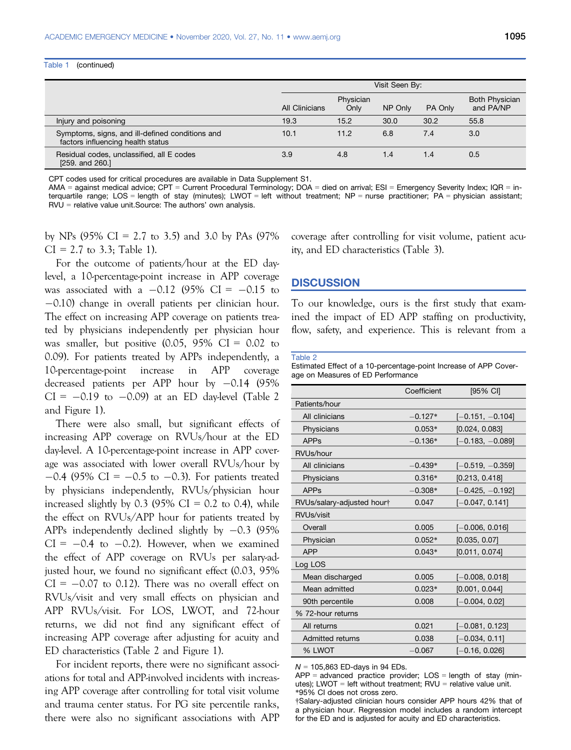#### Table 1 (continued)

|                                                                                      | Visit Seen By: |                   |         |         |                                    |
|--------------------------------------------------------------------------------------|----------------|-------------------|---------|---------|------------------------------------|
|                                                                                      | All Clinicians | Physician<br>Only | NP Only | PA Only | <b>Both Physician</b><br>and PA/NP |
| Injury and poisoning                                                                 | 19.3           | 15.2              | 30.0    | 30.2    | 55.8                               |
| Symptoms, signs, and ill-defined conditions and<br>factors influencing health status | 10.1           | 11.2              | 6.8     | 7.4     | 3.0                                |
| Residual codes, unclassified, all E codes<br>$[259.$ and $260.]$                     | 3.9            | 4.8               | 1.4     | 1.4     | 0.5                                |

CPT codes used for critical procedures are available in Data Supplement S1.

AMA = against medical advice; CPT = Current Procedural Terminology; DOA = died on arrival; ESI = Emergency Severity Index; IQR = interquartile range; LOS = length of stay (minutes); LWOT = left without treatment; NP = nurse practitioner; PA = physician assistant; RVU = relative value unit.Source: The authors' own analysis.

by NPs (95% CI = 2.7 to 3.5) and 3.0 by PAs (97%)  $CI = 2.7$  to 3.3; Table 1).

For the outcome of patients/hour at the ED daylevel, a 10-percentage-point increase in APP coverage was associated with a  $-0.12$  (95% CI =  $-0.15$  to  $-0.10$ ) change in overall patients per clinician hour. The effect on increasing APP coverage on patients treated by physicians independently per physician hour was smaller, but positive  $(0.05, 95\% \text{ CI} = 0.02 \text{ to }$ 0.09). For patients treated by APPs independently, a 10-percentage-point increase in APP coverage decreased patients per APP hour by  $-0.14$  (95%)  $CI = -0.19$  to  $-0.09$ ) at an ED day-level (Table 2 and Figure 1).

There were also small, but significant effects of increasing APP coverage on RVUs/hour at the ED day-level. A 10-percentage-point increase in APP coverage was associated with lower overall RVUs/hour by  $-0.4$  (95% CI =  $-0.5$  to  $-0.3$ ). For patients treated by physicians independently, RVUs/physician hour increased slightly by  $0.3$  (95% CI = 0.2 to 0.4), while the effect on RVUs/APP hour for patients treated by APPs independently declined slightly by  $-0.3$  (95%)  $CI = -0.4$  to  $-0.2$ ). However, when we examined the effect of APP coverage on RVUs per salary-adjusted hour, we found no significant effect (0.03, 95%  $CI = -0.07$  to 0.12). There was no overall effect on RVUs/visit and very small effects on physician and APP RVUs/visit. For LOS, LWOT, and 72-hour returns, we did not find any significant effect of increasing APP coverage after adjusting for acuity and ED characteristics (Table 2 and Figure 1).

For incident reports, there were no significant associations for total and APP-involved incidents with increasing APP coverage after controlling for total visit volume and trauma center status. For PG site percentile ranks, there were also no significant associations with APP coverage after controlling for visit volume, patient acuity, and ED characteristics (Table 3).

## **DISCUSSION**

To our knowledge, ours is the first study that examined the impact of ED APP staffing on productivity, flow, safety, and experience. This is relevant from a

#### Table 2

Estimated Effect of a 10-percentage-point Increase of APP Coverage on Measures of ED Performance

| Coefficient<br>[95% CI] |                    |  |
|-------------------------|--------------------|--|
|                         |                    |  |
| $-0.127*$               | $[-0.151, -0.104]$ |  |
| $0.053*$                | [0.024, 0.083]     |  |
| $-0.136*$               | $[-0.183, -0.089]$ |  |
|                         |                    |  |
| $-0.439*$               | $[-0.519, -0.359]$ |  |
| $0.316*$                | [0.213, 0.418]     |  |
| $-0.308*$               | $[-0.425, -0.192]$ |  |
| 0.047                   | $[-0.047, 0.141]$  |  |
|                         |                    |  |
| 0.005                   | $[-0.006, 0.016]$  |  |
| $0.052*$                | [0.035, 0.07]      |  |
| $0.043*$                | [0.011, 0.074]     |  |
|                         |                    |  |
| 0.005                   | $[-0.008, 0.018]$  |  |
| $0.023*$                | [0.001, 0.044]     |  |
| 0.008                   | $[-0.004, 0.02]$   |  |
|                         |                    |  |
| 0.021                   | $[-0.081, 0.123]$  |  |
| 0.038                   | $[-0.034, 0.11]$   |  |
| -0.067                  | $[-0.16, 0.026]$   |  |
|                         |                    |  |

 $N = 105,863$  ED-days in 94 EDs.

 $APP = advanced$  practice provider:  $LOS = lenath$  of stay (minutes); LWOT = left without treatment;  $RVU =$  relative value unit. \*95% CI does not cross zero.

†Salary-adjusted clinician hours consider APP hours 42% that of a physician hour. Regression model includes a random intercept for the ED and is adjusted for acuity and ED characteristics.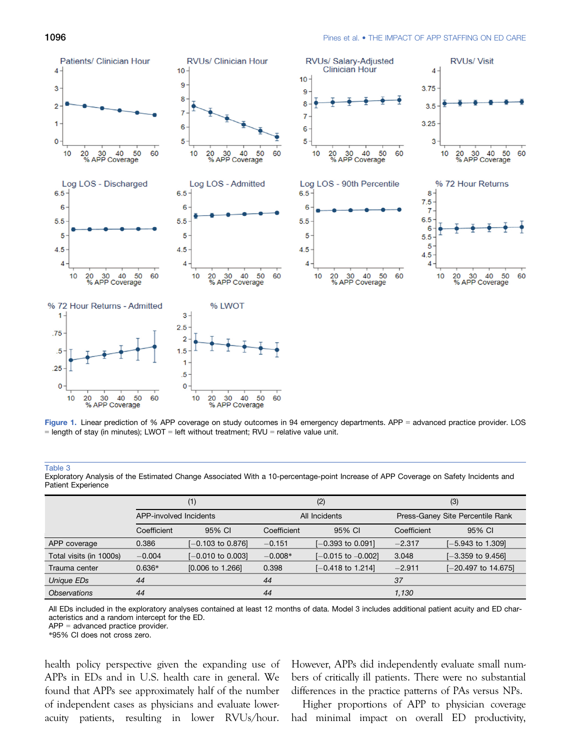



### Table 3

Exploratory Analysis of the Estimated Change Associated With a 10-percentage-point Increase of APP Coverage on Safety Incidents and Patient Experience

|                            | (1)                    |                             | (2)           |                              | (3)                              |                              |
|----------------------------|------------------------|-----------------------------|---------------|------------------------------|----------------------------------|------------------------------|
|                            | APP-involved Incidents |                             | All Incidents |                              | Press-Ganey Site Percentile Rank |                              |
|                            | Coefficient            | 95% CI                      | Coefficient   | 95% CI                       | Coefficient                      | 95% CI                       |
| APP coverage               | 0.386                  | $[-0.103$ to 0.876]         | $-0.151$      | $[-0.393 \text{ to } 0.091]$ | $-2.317$                         | $[-5.943 \text{ to } 1.309]$ |
| Total visits (in 1000s)    | $-0.004$               | $[-0.010$ to 0.003]         | $-0.008*$     | $[-0.015$ to $-0.002]$       | 3.048                            | $[-3.359$ to 9.456]          |
| Trauma center              | $0.636*$               | $[0.006 \text{ to } 1.266]$ | 0.398         | $[-0.418 \text{ to } 1.214]$ | $-2.911$                         | [-20.497 to 14.675]          |
| Unique EDs                 | 44                     |                             | 44            |                              | 37                               |                              |
| <i><b>Observations</b></i> | 44                     |                             | 44            |                              | 1.130                            |                              |

All EDs included in the exploratory analyses contained at least 12 months of data. Model 3 includes additional patient acuity and ED characteristics and a random intercept for the ED.

APP = advanced practice provider.

\*95% CI does not cross zero.

health policy perspective given the expanding use of APPs in EDs and in U.S. health care in general. We found that APPs see approximately half of the number of independent cases as physicians and evaluate loweracuity patients, resulting in lower RVUs/hour.

However, APPs did independently evaluate small numbers of critically ill patients. There were no substantial differences in the practice patterns of PAs versus NPs.

Higher proportions of APP to physician coverage had minimal impact on overall ED productivity,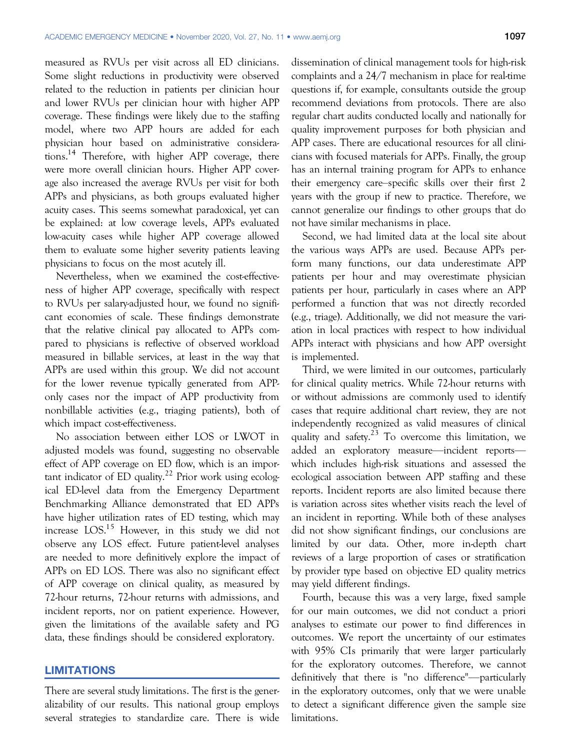measured as RVUs per visit across all ED clinicians. Some slight reductions in productivity were observed related to the reduction in patients per clinician hour and lower RVUs per clinician hour with higher APP coverage. These findings were likely due to the staffing model, where two APP hours are added for each physician hour based on administrative considerations.<sup>14</sup> Therefore, with higher APP coverage, there were more overall clinician hours. Higher APP coverage also increased the average RVUs per visit for both APPs and physicians, as both groups evaluated higher acuity cases. This seems somewhat paradoxical, yet can be explained: at low coverage levels, APPs evaluated low-acuity cases while higher APP coverage allowed them to evaluate some higher severity patients leaving physicians to focus on the most acutely ill.

Nevertheless, when we examined the cost-effectiveness of higher APP coverage, specifically with respect to RVUs per salary-adjusted hour, we found no significant economies of scale. These findings demonstrate that the relative clinical pay allocated to APPs compared to physicians is reflective of observed workload measured in billable services, at least in the way that APPs are used within this group. We did not account for the lower revenue typically generated from APPonly cases nor the impact of APP productivity from nonbillable activities (e.g., triaging patients), both of which impact cost-effectiveness.

No association between either LOS or LWOT in adjusted models was found, suggesting no observable effect of APP coverage on ED flow, which is an important indicator of ED quality.<sup>22</sup> Prior work using ecological ED-level data from the Emergency Department Benchmarking Alliance demonstrated that ED APPs have higher utilization rates of ED testing, which may increase LOS.<sup>15</sup> However, in this study we did not observe any LOS effect. Future patient-level analyses are needed to more definitively explore the impact of APPs on ED LOS. There was also no significant effect of APP coverage on clinical quality, as measured by 72-hour returns, 72-hour returns with admissions, and incident reports, nor on patient experience. However, given the limitations of the available safety and PG data, these findings should be considered exploratory.

## LIMITATIONS

There are several study limitations. The first is the generalizability of our results. This national group employs several strategies to standardize care. There is wide dissemination of clinical management tools for high-risk complaints and a 24/7 mechanism in place for real-time questions if, for example, consultants outside the group recommend deviations from protocols. There are also regular chart audits conducted locally and nationally for quality improvement purposes for both physician and APP cases. There are educational resources for all clinicians with focused materials for APPs. Finally, the group has an internal training program for APPs to enhance their emergency care–specific skills over their first 2 years with the group if new to practice. Therefore, we cannot generalize our findings to other groups that do not have similar mechanisms in place.

Second, we had limited data at the local site about the various ways APPs are used. Because APPs perform many functions, our data underestimate APP patients per hour and may overestimate physician patients per hour, particularly in cases where an APP performed a function that was not directly recorded (e.g., triage). Additionally, we did not measure the variation in local practices with respect to how individual APPs interact with physicians and how APP oversight is implemented.

Third, we were limited in our outcomes, particularly for clinical quality metrics. While 72-hour returns with or without admissions are commonly used to identify cases that require additional chart review, they are not independently recognized as valid measures of clinical quality and safety.<sup>23</sup> To overcome this limitation, we added an exploratory measure—incident reports which includes high-risk situations and assessed the ecological association between APP staffing and these reports. Incident reports are also limited because there is variation across sites whether visits reach the level of an incident in reporting. While both of these analyses did not show significant findings, our conclusions are limited by our data. Other, more in-depth chart reviews of a large proportion of cases or stratification by provider type based on objective ED quality metrics may yield different findings.

Fourth, because this was a very large, fixed sample for our main outcomes, we did not conduct a priori analyses to estimate our power to find differences in outcomes. We report the uncertainty of our estimates with 95% CIs primarily that were larger particularly for the exploratory outcomes. Therefore, we cannot definitively that there is "no difference"—particularly in the exploratory outcomes, only that we were unable to detect a significant difference given the sample size limitations.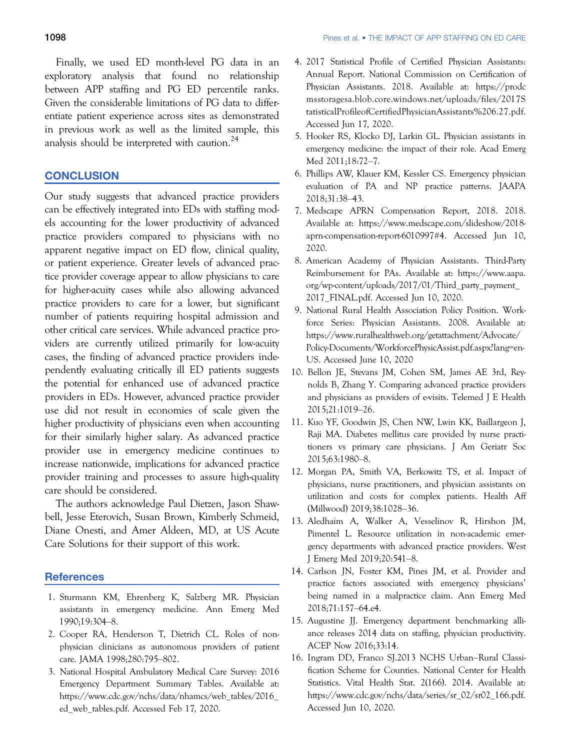Finally, we used ED month-level PG data in an exploratory analysis that found no relationship between APP staffing and PG ED percentile ranks. Given the considerable limitations of PG data to differentiate patient experience across sites as demonstrated in previous work as well as the limited sample, this analysis should be interpreted with caution.<sup>24</sup>

## **CONCLUSION**

Our study suggests that advanced practice providers can be effectively integrated into EDs with staffing models accounting for the lower productivity of advanced practice providers compared to physicians with no apparent negative impact on ED flow, clinical quality, or patient experience. Greater levels of advanced practice provider coverage appear to allow physicians to care for higher-acuity cases while also allowing advanced practice providers to care for a lower, but significant number of patients requiring hospital admission and other critical care services. While advanced practice providers are currently utilized primarily for low-acuity cases, the finding of advanced practice providers independently evaluating critically ill ED patients suggests the potential for enhanced use of advanced practice providers in EDs. However, advanced practice provider use did not result in economies of scale given the higher productivity of physicians even when accounting for their similarly higher salary. As advanced practice provider use in emergency medicine continues to increase nationwide, implications for advanced practice provider training and processes to assure high-quality care should be considered.

The authors acknowledge Paul Dietzen, Jason Shawbell, Jesse Eterovich, Susan Brown, Kimberly Schmeid, Diane Onesti, and Amer Aldeen, MD, at US Acute Care Solutions for their support of this work.

## **References**

- 1. Sturmann KM, Ehrenberg K, Salzberg MR. Physician assistants in emergency medicine. Ann Emerg Med 1990;19:304–8.
- 2. Cooper RA, Henderson T, Dietrich CL. Roles of nonphysician clinicians as autonomous providers of patient care. JAMA 1998;280:795–802.
- 3. National Hospital Ambulatory Medical Care Survey: 2016 Emergency Department Summary Tables. Available at: [https://www.cdc.gov/nchs/data/nhamcs/web\\_tables/2016\\_](https://www.cdc.gov/nchs/data/nhamcs/web_tables/2016_ed_web_tables.pdf) [ed\\_web\\_tables.pdf.](https://www.cdc.gov/nchs/data/nhamcs/web_tables/2016_ed_web_tables.pdf) Accessed Feb 17, 2020.
- 4. 2017 Statistical Profile of Certified Physician Assistants: Annual Report. National Commission on Certification of Physician Assistants. 2018. Available at: [https://prodc](https://prodcmsstoragesa.blob.core.windows.net/uploads/files/2017StatisticalProfileofCertifiedPhysicianAssistants%206.27.pdf) [msstoragesa.blob.core.windows.net/uploads/files/2017S](https://prodcmsstoragesa.blob.core.windows.net/uploads/files/2017StatisticalProfileofCertifiedPhysicianAssistants%206.27.pdf) [tatisticalProfileofCertifiedPhysicianAssistants%206.27.pdf.](https://prodcmsstoragesa.blob.core.windows.net/uploads/files/2017StatisticalProfileofCertifiedPhysicianAssistants%206.27.pdf) Accessed Jun 17, 2020.
- 5. Hooker RS, Klocko DJ, Larkin GL. Physician assistants in emergency medicine: the impact of their role. Acad Emerg Med 2011;18:72–7.
- 6. Phillips AW, Klauer KM, Kessler CS. Emergency physician evaluation of PA and NP practice patterns. JAAPA 2018;31:38–43.
- 7. Medscape APRN Compensation Report, 2018. 2018. Available at: [https://www.medscape.com/slideshow/2018](https://www.medscape.com/slideshow/2018-aprn-compensation-report-6010997#4) [aprn-compensation-report-6010997#4.](https://www.medscape.com/slideshow/2018-aprn-compensation-report-6010997#4) Accessed Jun 10, 2020.
- 8. American Academy of Physician Assistants. Third-Party Reimbursement for PAs. Available at: [https://www.aapa.](https://www.aapa.org/wp-content/uploads/2017/01/Third_party_payment_2017_FINAL.pdf) [org/wp-content/uploads/2017/01/Third\\_party\\_payment\\_](https://www.aapa.org/wp-content/uploads/2017/01/Third_party_payment_2017_FINAL.pdf) [2017\\_FINAL.pdf](https://www.aapa.org/wp-content/uploads/2017/01/Third_party_payment_2017_FINAL.pdf). Accessed Jun 10, 2020.
- 9. National Rural Health Association Policy Position. Workforce Series: Physician Assistants. 2008. Available at: [https://www.ruralhealthweb.org/getattachment/Advocate/](https://www.ruralhealthweb.org/getattachment/Advocate/Policy-Documents/WorkforcePhysicAssist.pdf.aspx?lang=en-US) [Policy-Documents/WorkforcePhysicAssist.pdf.aspx?lang=en-](https://www.ruralhealthweb.org/getattachment/Advocate/Policy-Documents/WorkforcePhysicAssist.pdf.aspx?lang=en-US)[US](https://www.ruralhealthweb.org/getattachment/Advocate/Policy-Documents/WorkforcePhysicAssist.pdf.aspx?lang=en-US). Accessed June 10, 2020
- 10. Bellon JE, Stevans JM, Cohen SM, James AE 3rd, Reynolds B, Zhang Y. Comparing advanced practice providers and physicians as providers of e-visits. Telemed J E Health 2015;21:1019–26.
- 11. Kuo YF, Goodwin JS, Chen NW, Lwin KK, Baillargeon J, Raji MA. Diabetes mellitus care provided by nurse practitioners vs primary care physicians. J Am Geriatr Soc 2015;63:1980–8.
- 12. Morgan PA, Smith VA, Berkowitz TS, et al. Impact of physicians, nurse practitioners, and physician assistants on utilization and costs for complex patients. Health Aff (Millwood) 2019;38:1028–36.
- 13. Aledhaim A, Walker A, Vesselinov R, Hirshon JM, Pimentel L. Resource utilization in non-academic emergency departments with advanced practice providers. West J Emerg Med 2019;20:541–8.
- 14. Carlson JN, Foster KM, Pines JM, et al. Provider and practice factors associated with emergency physicians' being named in a malpractice claim. Ann Emerg Med 2018;71:157–64.e4.
- 15. Augustine JJ. Emergency department benchmarking alliance releases 2014 data on staffing, physician productivity. ACEP Now 2016;33:14.
- 16. Ingram DD, Franco SJ.2013 NCHS Urban–Rural Classification Scheme for Counties. National Center for Health Statistics. Vital Health Stat. 2(166). 2014. Available at: [https://www.cdc.gov/nchs/data/series/sr\\_02/sr02\\_166.pdf.](https://www.cdc.gov/nchs/data/series/sr_02/sr02_166.pdf) Accessed Jun 10, 2020.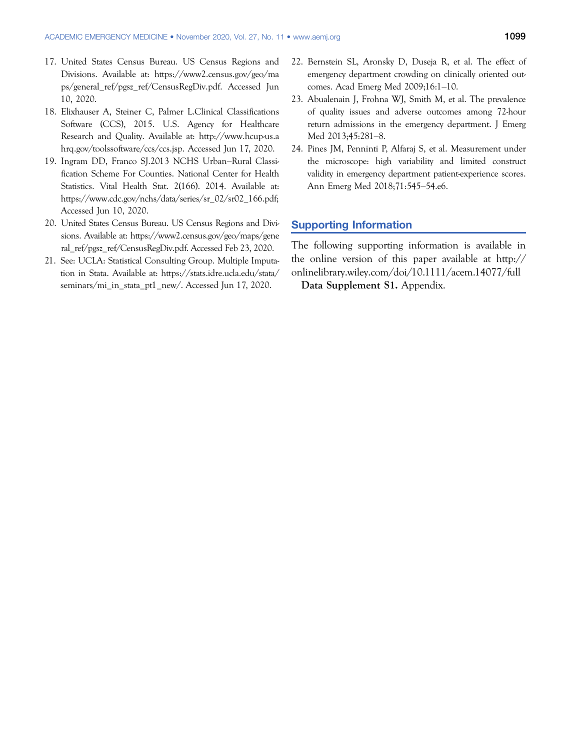- 17. United States Census Bureau. US Census Regions and Divisions. Available at: [https://www2.census.gov/geo/ma](https://www2.census.gov/geo/maps/general_ref/pgsz_ref/CensusRegDiv.pdf) [ps/general\\_ref/pgsz\\_ref/CensusRegDiv.pdf.](https://www2.census.gov/geo/maps/general_ref/pgsz_ref/CensusRegDiv.pdf) Accessed Jun 10, 2020.
- 18. Elixhauser A, Steiner C, Palmer L.Clinical Classifications Software (CCS), 2015. U.S. Agency for Healthcare Research and Quality. Available at: [http://www.hcup-us.a](http://www.hcup-us.ahrq.gov/toolssoftware/ccs/ccs.jsp) [hrq.gov/toolssoftware/ccs/ccs.jsp](http://www.hcup-us.ahrq.gov/toolssoftware/ccs/ccs.jsp). Accessed Jun 17, 2020.
- 19. Ingram DD, Franco SJ.2013 NCHS Urban–Rural Classification Scheme For Counties. National Center for Health Statistics. Vital Health Stat. 2(166). 2014. Available at: [https://www.cdc.gov/nchs/data/series/sr\\_02/sr02\\_166.pdf](https://www.cdc.gov/nchs/data/series/sr_02/sr02_166.pdf); Accessed Jun 10, 2020.
- 20. United States Census Bureau. US Census Regions and Divisions. Available at: [https://www2.census.gov/geo/maps/gene](https://www2.census.gov/geo/maps/general_ref/pgsz_ref/CensusRegDiv.pdf) [ral\\_ref/pgsz\\_ref/CensusRegDiv.pdf](https://www2.census.gov/geo/maps/general_ref/pgsz_ref/CensusRegDiv.pdf). Accessed Feb 23, 2020.
- 21. See: UCLA: Statistical Consulting Group. Multiple Imputation in Stata. Available at: [https://stats.idre.ucla.edu/stata/](https://stats.idre.ucla.edu/stata/seminars/mi_in_stata_pt1_new/) [seminars/mi\\_in\\_stata\\_pt1\\_new/.](https://stats.idre.ucla.edu/stata/seminars/mi_in_stata_pt1_new/) Accessed Jun 17, 2020.
- 22. Bernstein SL, Aronsky D, Duseja R, et al. The effect of emergency department crowding on clinically oriented outcomes. Acad Emerg Med 2009;16:1–10.
- 23. Abualenain J, Frohna WJ, Smith M, et al. The prevalence of quality issues and adverse outcomes among 72-hour return admissions in the emergency department. J Emerg Med 2013;45:281–8.
- 24. Pines JM, Penninti P, Alfaraj S, et al. Measurement under the microscope: high variability and limited construct validity in emergency department patient-experience scores. Ann Emerg Med 2018;71:545–54.e6.

# Supporting Information

The following supporting information is available in the online version of this paper available at [http://](http://onlinelibrary.wiley.com/doi/10.1111/acem.14077/full) [onlinelibrary.wiley.com/doi/10.1111/acem.14077/full](http://onlinelibrary.wiley.com/doi/10.1111/acem.14077/full) Data Supplement S1. Appendix.